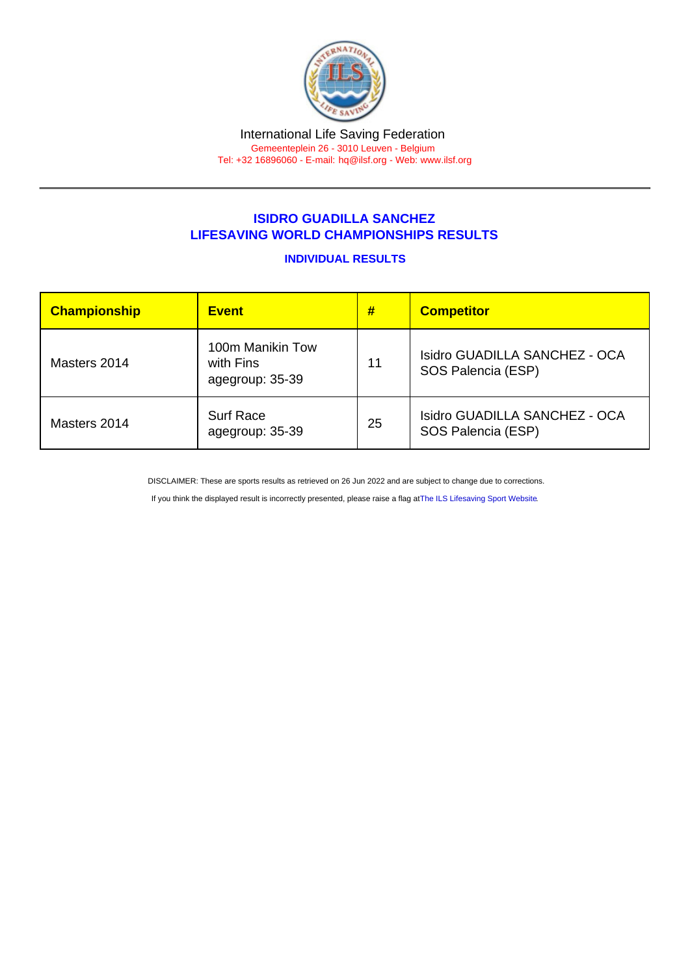## ISIDRO GUADILLA SANCHEZ LIFESAVING WORLD CHAMPIONSHIPS RESULTS

## INDIVIDUAL RESULTS

| Championship | <b>Event</b>                                     | #  | <b>Competitor</b>                                   |
|--------------|--------------------------------------------------|----|-----------------------------------------------------|
| Masters 2014 | 100m Manikin Tow<br>with Fins<br>agegroup: 35-39 | 11 | Isidro GUADILLA SANCHEZ - OCA<br>SOS Palencia (ESP) |
| Masters 2014 | <b>Surf Race</b><br>agegroup: 35-39              | 25 | Isidro GUADILLA SANCHEZ - OCA<br>SOS Palencia (ESP) |

DISCLAIMER: These are sports results as retrieved on 26 Jun 2022 and are subject to change due to corrections.

If you think the displayed result is incorrectly presented, please raise a flag at [The ILS Lifesaving Sport Website.](https://sport.ilsf.org)